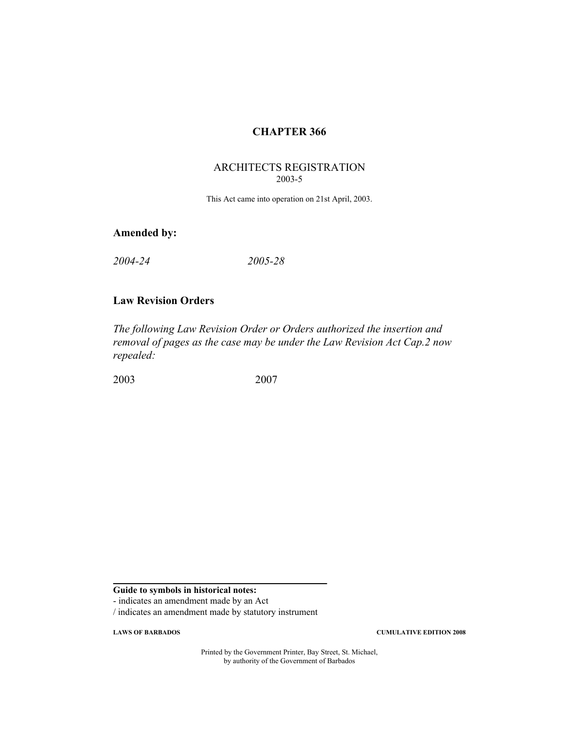## **CHAPTER 366**

#### ARCHITECTS REGISTRATION 2003-5

This Act came into operation on 21st April, 2003.

### **Amended by:**

*2004-24 2005-28*

### **Law Revision Orders**

*The following Law Revision Order or Orders authorized the insertion and removal of pages as the case may be under the Law Revision Act Cap.2 now repealed:*

2003 2007

**Guide to symbols in historical notes:**

- indicates an amendment made by an Act

**LAWS OF BARBADOS CUMULATIVE EDITION 2008**

Printed by the Government Printer, Bay Street, St. Michael, by authority of the Government of Barbados

<sup>/</sup> indicates an amendment made by statutory instrument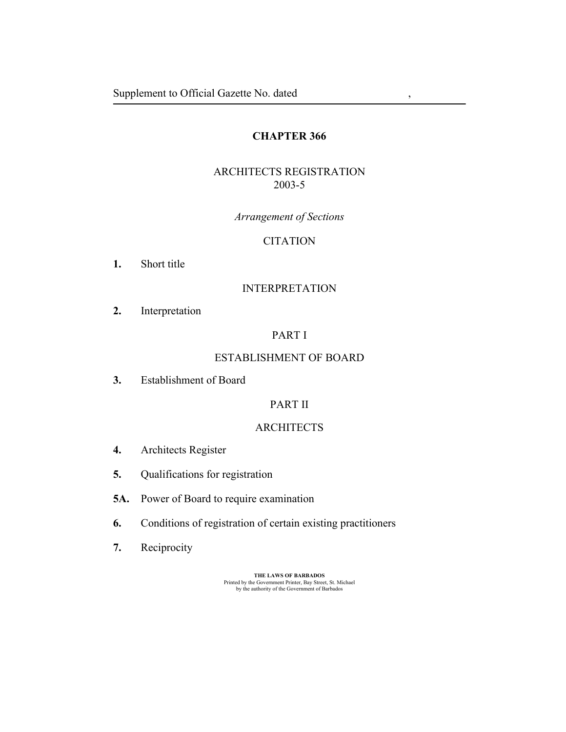Supplement to Official Gazette No. dated ,

## **CHAPTER 366**

# ARCHITECTS REGISTRATION 2003-5

*Arrangement of Sections*

# **[CITATION](#page-6-0)**

[Short title](#page-6-0) **1.**

### [INTERPRETATION](#page-6-0)

[Interpretation](#page-6-0) **2.**

## PART I

# [ESTABLISHMENT OF BOARD](#page-8-0)

[Establishment of Board](#page-8-0) **3.**

## PART II

## **[ARCHITECTS](#page-9-0)**

- [Architects Register](#page-9-0) **4.**
- [Qualifications for registration](#page-10-0) **5.**
- [Power of Board to require examination](#page-11-0) **5A.**
- [Conditions of registration of certain existing practitioners](#page-11-0) **6.**
- [Reciprocity](#page-12-0) **7.**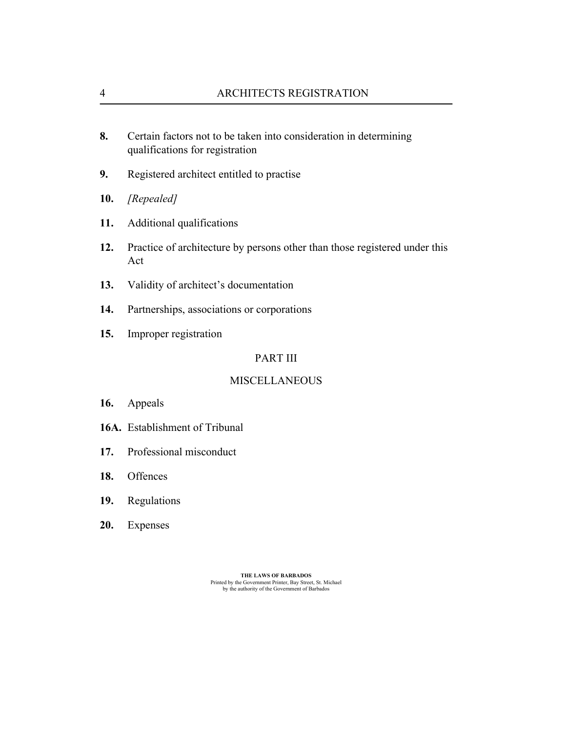- [Certain factors not to be taken into consideration in determining](#page-13-0) qualifications for registration **8.**
- [Registered architect entitled to practise](#page-13-0) **9.**
- *[Repealed]* **10.**
- [Additional qualifications](#page-13-0) **11.**
- [Practice of architecture by persons other than those registered under this](#page-14-0) Act **12.**
- [Validity of architect's documentation](#page-15-0) **13.**
- [Partnerships, associations or corporations](#page-15-0) **14.**
- [Improper registration](#page-16-0) **15.**

# PART III

#### **[MISCELLANEOUS](#page-16-0)**

- [Appeals](#page-16-0) **16.**
- 16A. [Establishment of Tribunal](#page-16-0)
- [Professional misconduct](#page-17-0) **17.**
- **[Offences](#page-17-0) 18.**
- [Regulations](#page-18-0) **19.**
- [Expenses](#page-20-0) **20.**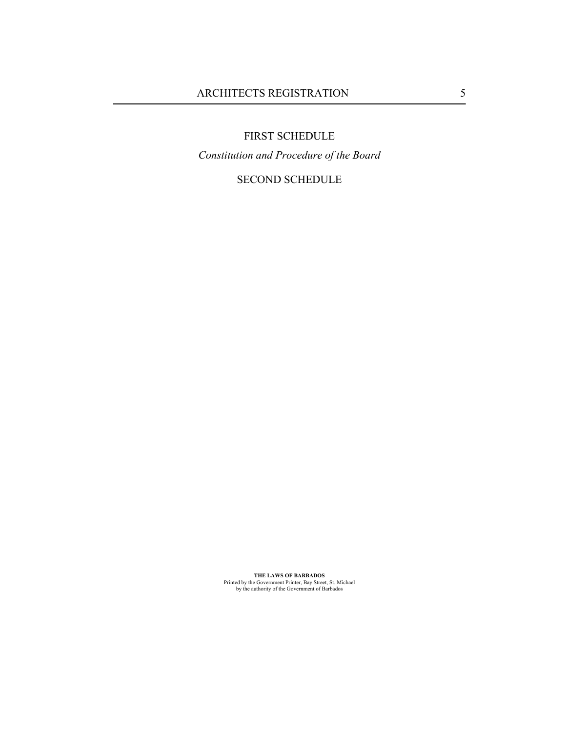# FIRST SCHEDULE

*[Constitution and Procedure of the Board](#page-21-0)*

[SECOND SCHEDULE](#page-24-0)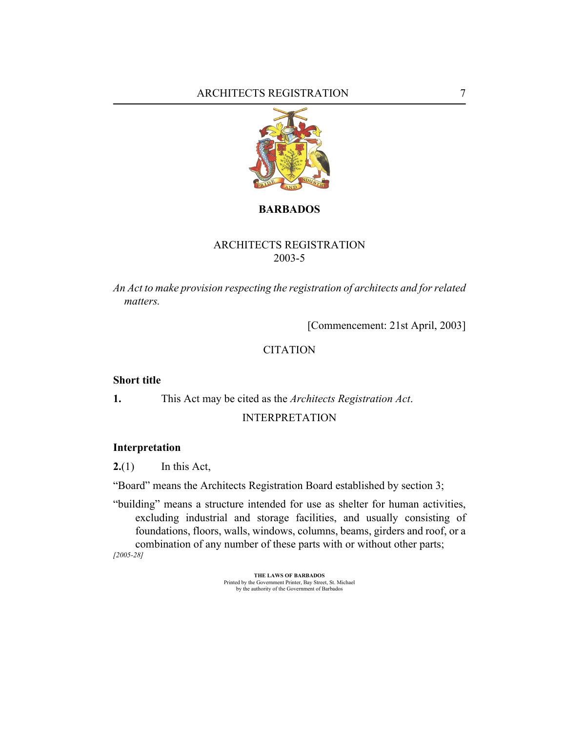<span id="page-6-0"></span>

# **BARBADOS**

## ARCHITECTS REGISTRATION 2003-5

*An Act to make provision respecting the registration of architects and for related matters.*

[Commencement: 21st April, 2003]

# **CITATION**

## **Short title**

This Act may be cited as the *Architects Registration Act*. **1.**

## INTERPRETATION

## **Interpretation**

In this Act, **2.**(1)

"Board" means the Architects Registration Board established by [section 3](#page-8-0);

"building" means a structure intended for use as shelter for human activities, excluding industrial and storage facilities, and usually consisting of foundations, floors, walls, windows, columns, beams, girders and roof, or a combination of any number of these parts with or without other parts; *[2005-28]*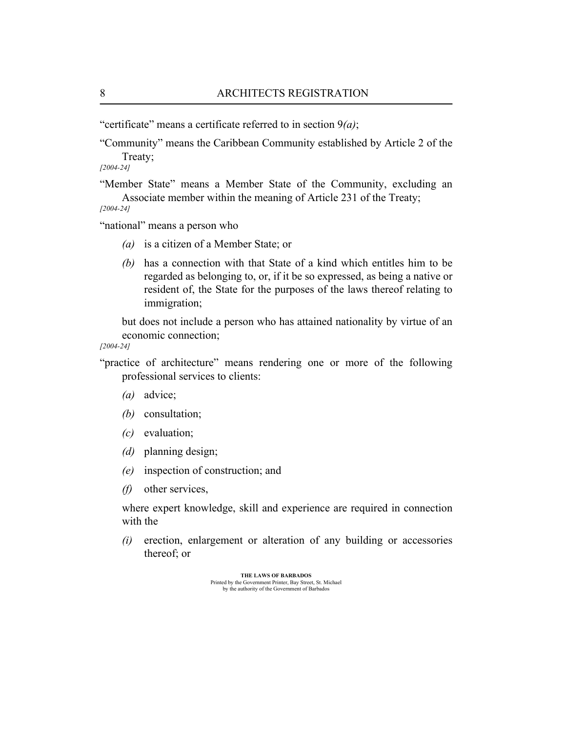"certificate" means a certificate referred to in [section 9](#page-13-0)*(a)*;

"Community" means the Caribbean Community established by Article 2 of the Treaty;

*[2004-24]*

"Member State" means a Member State of the Community, excluding an Associate member within the meaning of Article 231 of the Treaty;

*[2004-24]*

"national" means a person who

- is a citizen of a Member State; or *(a)*
- (b) has a connection with that State of a kind which entitles him to be regarded as belonging to, or, if it be so expressed, as being a native or resident of, the State for the purposes of the laws thereof relating to immigration;

but does not include a person who has attained nationality by virtue of an economic connection;

*[2004-24]*

- "practice of architecture" means rendering one or more of the following professional services to clients:
	- advice; *(a)*
	- (b) consultation;
	- (c) evaluation;
	- planning design; *(d)*
	- inspection of construction; and *(e)*
	- other services, *(f)*

where expert knowledge, skill and experience are required in connection with the

erection, enlargement or alteration of any building or accessories thereof; or *(i)*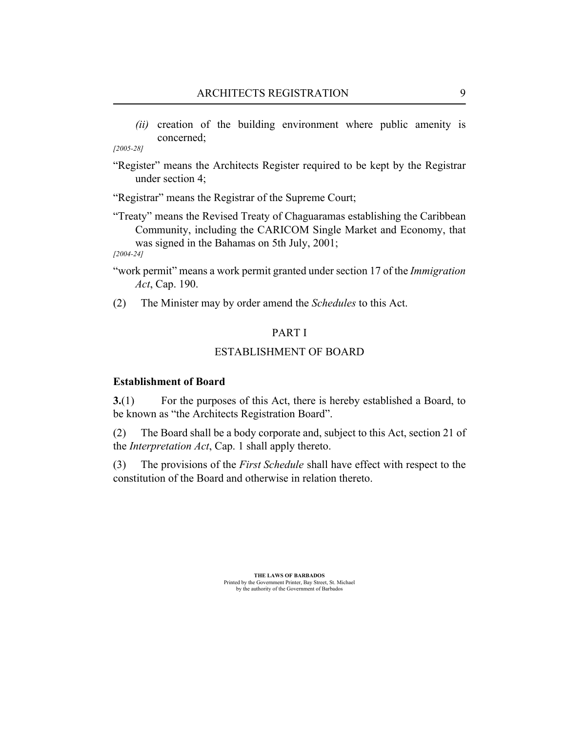<span id="page-8-0"></span>(ii) creation of the building environment where public amenity is concerned;

"Register" means the Architects Register required to be kept by the Registrar under [section 4;](#page-9-0)

"Registrar" means the Registrar of the Supreme Court;

"Treaty" means the Revised Treaty of Chaguaramas establishing the Caribbean Community, including the CARICOM Single Market and Economy, that was signed in the Bahamas on 5th July, 2001;

*[2004-24]*

- "work permit" means a work permit granted under section 17 of the *[Immigration](http://barbadosparliament-laws.com/en/showdoc/cs/190) Act*[, Cap. 190.](http://barbadosparliament-laws.com/en/showdoc/cs/190)
- The Minister may by order amend the *Schedules* to this Act. (2)

#### PART I

#### ESTABLISHMENT OF BOARD

#### **Establishment of Board**

For the purposes of this Act, there is hereby established a Board, to be known as "the Architects Registration Board". **3.**(1)

The Board shall be a body corporate and, subject to this Act, section 21 of the *[Interpretation Act](http://barbadosparliament-laws.com/en/showdoc/cs/1)*, Cap. 1 shall apply thereto. (2)

The provisions of the *[First Schedule](#page-21-0)* shall have effect with respect to the constitution of the Board and otherwise in relation thereto. (3)

*<sup>[2005-28]</sup>*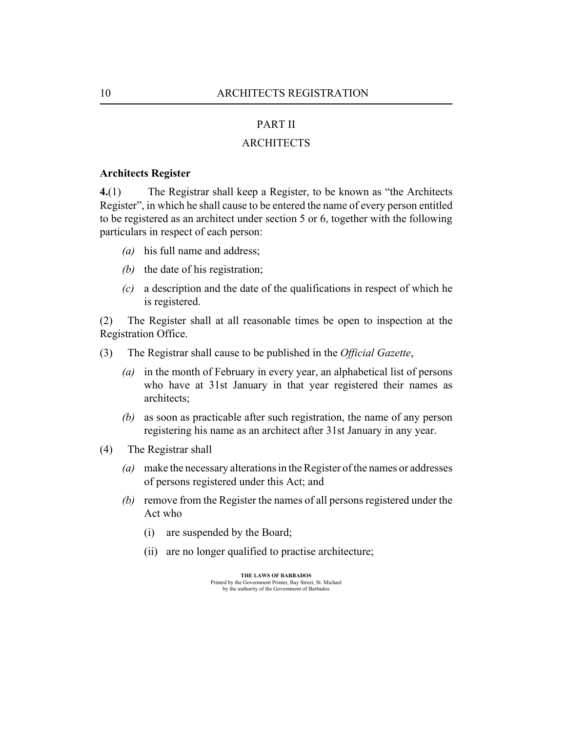# PART II

## **ARCHITECTS**

#### <span id="page-9-0"></span>**Architects Register**

The Registrar shall keep a Register, to be known as "the Architects Register", in which he shall cause to be entered the name of every person entitled to be registered as an architect under [section 5](#page-10-0) or [6](#page-11-0), together with the following particulars in respect of each person: **4.**(1)

- (a) his full name and address;
- (b) the date of his registration;
- a description and the date of the qualifications in respect of which he *(c)* is registered.

The Register shall at all reasonable times be open to inspection at the Registration Office. (2)

- The Registrar shall cause to be published in the *Official Gazette*, (3)
	- in the month of February in every year, an alphabetical list of persons *(a)* who have at 31st January in that year registered their names as architects;
	- as soon as practicable after such registration, the name of any person *(b)* registering his name as an architect after 31st January in any year.
- The Registrar shall (4)
	- make the necessary alterations in the Register of the names or addresses *(a)* of persons registered under this Act; and
	- (b) remove from the Register the names of all persons registered under the Act who
		- are suspended by the Board; (i)
		- (ii) are no longer qualified to practise architecture;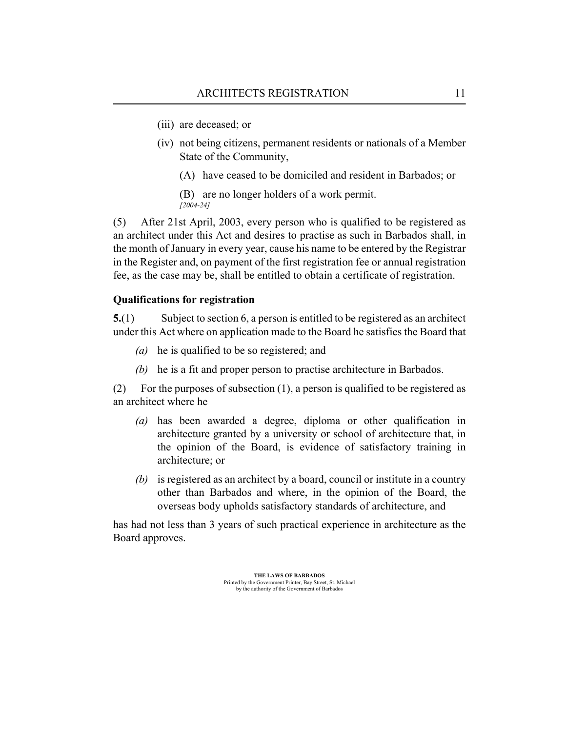- <span id="page-10-0"></span>(iii) are deceased; or
- (iv) not being citizens, permanent residents or nationals of a Member State of the Community,
	- (A) have ceased to be domiciled and resident in Barbados; or
	- (B) are no longer holders of a work permit. *[2004-24]*

After 21st April, 2003, every person who is qualified to be registered as an architect under this Act and desires to practise as such in Barbados shall, in the month of January in every year, cause his name to be entered by the Registrar in the Register and, on payment of the first registration fee or annual registration fee, as the case may be, shall be entitled to obtain a certificate of registration. (5)

#### **Qualifications for registration**

Subject to [section 6](#page-11-0), a person is entitled to be registered as an architect under this Act where on application made to the Board he satisfies the Board that **5.**(1)

- he is qualified to be so registered; and *(a)*
- (b) he is a fit and proper person to practise architecture in Barbados.

For the purposes of subsection (1), a person is qualified to be registered as an architect where he (2)

- has been awarded a degree, diploma or other qualification in *(a)* architecture granted by a university or school of architecture that, in the opinion of the Board, is evidence of satisfactory training in architecture; or
- is registered as an architect by a board, council or institute in a country *(b)* other than Barbados and where, in the opinion of the Board, the overseas body upholds satisfactory standards of architecture, and

has had not less than 3 years of such practical experience in architecture as the Board approves.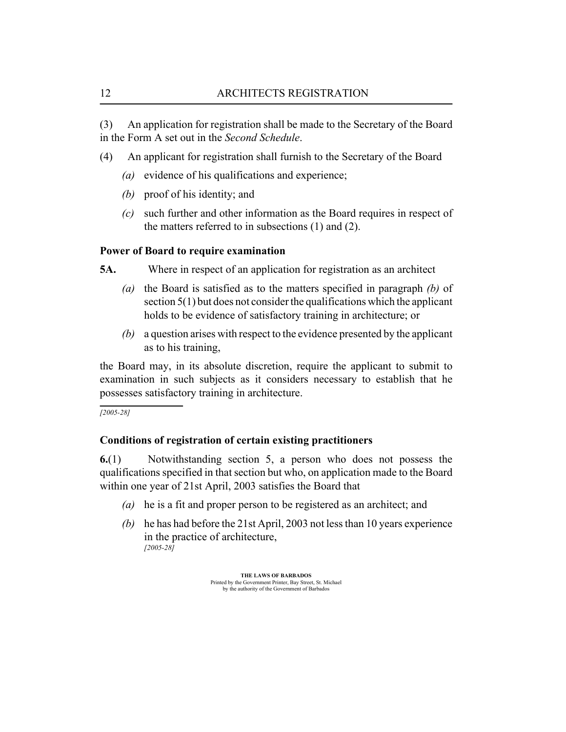<span id="page-11-0"></span>An application for registration shall be made to the Secretary of the Board in the Form A set out in the *[Second Schedule](#page-24-0)*. (3)

- An applicant for registration shall furnish to the Secretary of the Board (4)
	- (a) evidence of his qualifications and experience;
	- proof of his identity; and *(b)*
	- such further and other information as the Board requires in respect of *(c)* the matters referred to in subsections (1) and (2).

### **Power of Board to require examination**

- Where in respect of an application for registration as an architect **5A.**
	- the Board is satisfied as to the matters specified in [paragraph](#page-10-0) *(b)* of [section 5\(1\)](#page-10-0) but does not consider the qualifications which the applicant holds to be evidence of satisfactory training in architecture; or *(a)*
	- a question arises with respect to the evidence presented by the applicant *(b)* as to his training,

the Board may, in its absolute discretion, require the applicant to submit to examination in such subjects as it considers necessary to establish that he possesses satisfactory training in architecture.

*[2005-28]*

## **Conditions of registration of certain existing practitioners**

Notwithstanding [section 5](#page-10-0), a person who does not possess the qualifications specified in that section but who, on application made to the Board within one year of 21st April, 2003 satisfies the Board that **6.**(1)

- he is a fit and proper person to be registered as an architect; and *(a)*
- (b) he has had before the 21st April, 2003 not less than 10 years experience in the practice of architecture, *[2005-28]*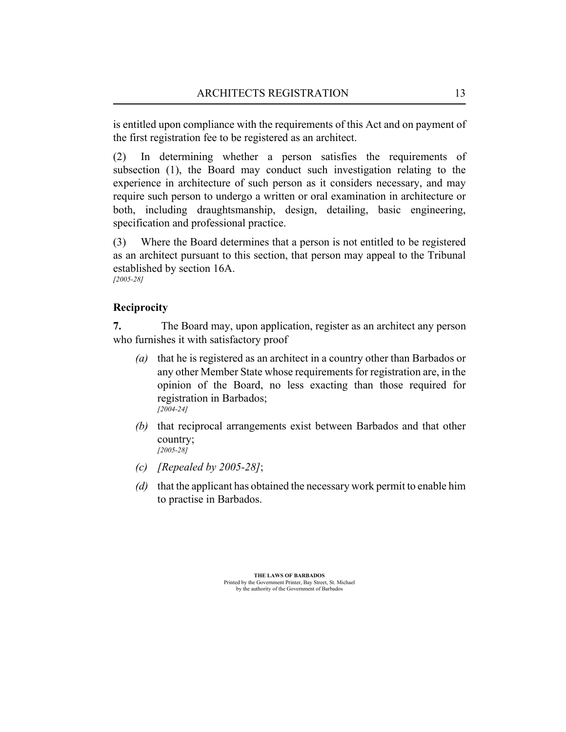<span id="page-12-0"></span>is entitled upon compliance with the requirements of this Act and on payment of the first registration fee to be registered as an architect.

In determining whether a person satisfies the requirements of subsection (1), the Board may conduct such investigation relating to the experience in architecture of such person as it considers necessary, and may require such person to undergo a written or oral examination in architecture or both, including draughtsmanship, design, detailing, basic engineering, specification and professional practice. (2)

Where the Board determines that a person is not entitled to be registered as an architect pursuant to this section, that person may appeal to the Tribunal established by [section 16A](#page-16-0). *[2005-28]* (3)

## **Reciprocity**

The Board may, upon application, register as an architect any person who furnishes it with satisfactory proof **7.**

- that he is registered as an architect in a country other than Barbados or *(a)* any other Member State whose requirements for registration are, in the opinion of the Board, no less exacting than those required for registration in Barbados; *[2004-24]*
- (b) that reciprocal arrangements exist between Barbados and that other country; *[2005-28]*
- *[Repealed by 2005-28]*; *(c)*
- (d) that the applicant has obtained the necessary work permit to enable him to practise in Barbados.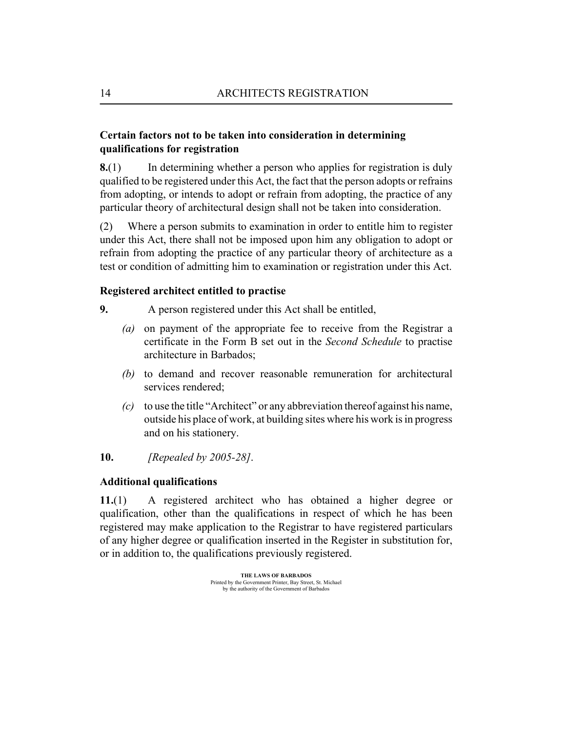## <span id="page-13-0"></span>**Certain factors not to be taken into consideration in determining qualifications for registration**

In determining whether a person who applies for registration is duly qualified to be registered under this Act, the fact that the person adopts or refrains from adopting, or intends to adopt or refrain from adopting, the practice of any particular theory of architectural design shall not be taken into consideration. **8.**(1)

Where a person submits to examination in order to entitle him to register under this Act, there shall not be imposed upon him any obligation to adopt or refrain from adopting the practice of any particular theory of architecture as a test or condition of admitting him to examination or registration under this Act. (2)

## **Registered architect entitled to practise**

- A person registered under this Act shall be entitled, **9.**
	- (a) on payment of the appropriate fee to receive from the Registrar a certificate in the Form B set out in the *[Second Schedule](#page-24-0)* to practise architecture in Barbados;
	- (b) to demand and recover reasonable remuneration for architectural services rendered;
	- to use the title "Architect" or any abbreviation thereof against his name, *(c)* outside his place of work, at building sites where his work is in progress and on his stationery.
- *[Repealed by 2005-28]*. **10.**

# **Additional qualifications**

A registered architect who has obtained a higher degree or qualification, other than the qualifications in respect of which he has been registered may make application to the Registrar to have registered particulars of any higher degree or qualification inserted in the Register in substitution for, or in addition to, the qualifications previously registered. **11.**(1)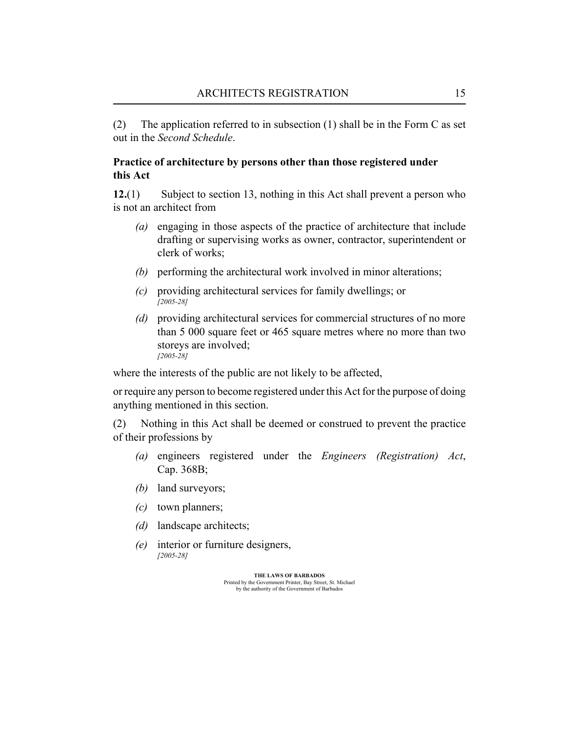<span id="page-14-0"></span>The application referred to in subsection (1) shall be in the Form C as set out in the *[Second Schedule](#page-24-0)*. (2)

## **Practice of architecture by persons other than those registered under this Act**

Subject to [section 13](#page-15-0), nothing in this Act shall prevent a person who is not an architect from **12.**(1)

- (a) engaging in those aspects of the practice of architecture that include drafting or supervising works as owner, contractor, superintendent or clerk of works;
- (b) performing the architectural work involved in minor alterations;
- providing architectural services for family dwellings; or *(c) [2005-28]*
- providing architectural services for commercial structures of no more *(d)* than 5 000 square feet or 465 square metres where no more than two storeys are involved; *[2005-28]*

where the interests of the public are not likely to be affected,

or require any person to become registered under this Act for the purpose of doing anything mentioned in this section.

Nothing in this Act shall be deemed or construed to prevent the practice of their professions by (2)

- (a) engineers registered under the *[Engineers \(Registration\) Act](http://barbadosparliament-laws.com/en/showdoc/cs/368B)*, [Cap. 368B;](http://barbadosparliament-laws.com/en/showdoc/cs/368B)
- (b) land surveyors;
- town planners; *(c)*
- (d) landscape architects;
- interior or furniture designers, *(e) [2005-28]*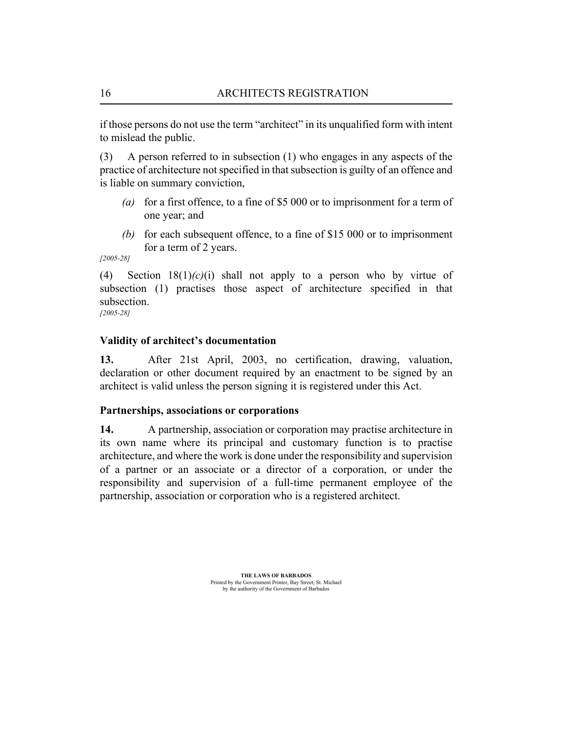<span id="page-15-0"></span>if those persons do not use the term "architect" in its unqualified form with intent to mislead the public.

A person referred to in subsection (1) who engages in any aspects of the practice of architecture not specified in that subsection is guilty of an offence and is liable on summary conviction, (3)

- for a first offence, to a fine of \$5 000 or to imprisonment for a term of *(a)* one year; and
- (b) for each subsequent offence, to a fine of \$15 000 or to imprisonment for a term of 2 years.

*[2005-28]*

Section  $18(1)/(c)(i)$  shall not apply to a person who by virtue of subsection (1) practises those aspect of architecture specified in that subsection. (4)

*[2005-28]*

## **Validity of architect's documentation**

After 21st April, 2003, no certification, drawing, valuation, declaration or other document required by an enactment to be signed by an architect is valid unless the person signing it is registered under this Act. **13.**

#### **Partnerships, associations or corporations**

A partnership, association or corporation may practise architecture in its own name where its principal and customary function is to practise architecture, and where the work is done under the responsibility and supervision of a partner or an associate or a director of a corporation, or under the responsibility and supervision of a full-time permanent employee of the partnership, association or corporation who is a registered architect. **14.**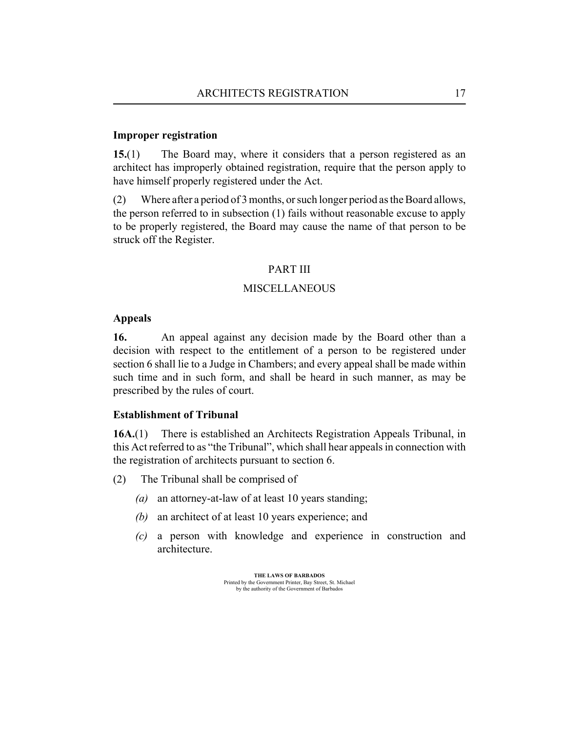### <span id="page-16-0"></span>**Improper registration**

The Board may, where it considers that a person registered as an architect has improperly obtained registration, require that the person apply to have himself properly registered under the Act. **15.**(1)

Where after a period of 3 months, or such longer period as the Board allows, the person referred to in subsection (1) fails without reasonable excuse to apply to be properly registered, the Board may cause the name of that person to be struck off the Register. (2)

### PART III

### MISCELLANEOUS

#### **Appeals**

An appeal against any decision made by the Board other than a decision with respect to the entitlement of a person to be registered under [section 6](#page-11-0) shall lie to a Judge in Chambers; and every appeal shall be made within such time and in such form, and shall be heard in such manner, as may be prescribed by the rules of court. **16.**

#### **Establishment of Tribunal**

There is established an Architects Registration Appeals Tribunal, in this Act referred to as "the Tribunal", which shall hear appeals in connection with the registration of architects pursuant to [section 6](#page-11-0). **16A.**(1)

- The Tribunal shall be comprised of (2)
	- (a) an attorney-at-law of at least 10 years standing;
	- an architect of at least 10 years experience; and *(b)*
	- a person with knowledge and experience in construction and *(c)* architecture.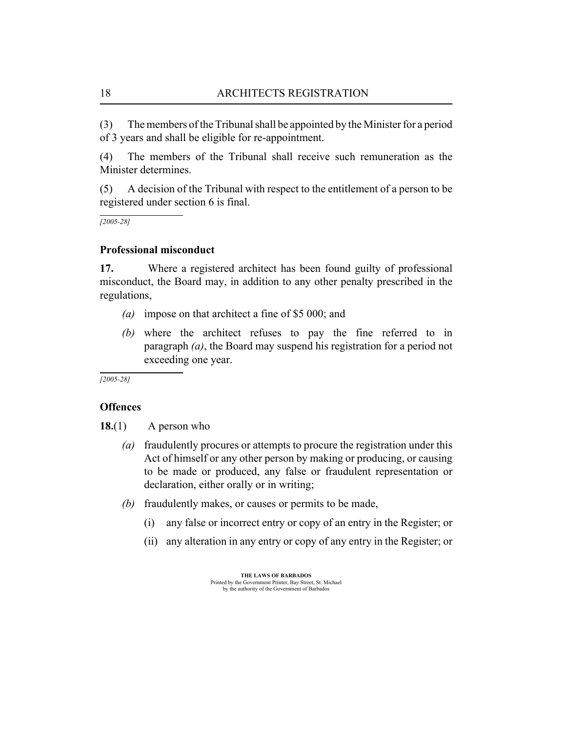<span id="page-17-0"></span>The members of the Tribunal shall be appointed by the Minister for a period of 3 years and shall be eligible for re-appointment. (3)

The members of the Tribunal shall receive such remuneration as the Minister determines. (4)

A decision of the Tribunal with respect to the entitlement of a person to be registered under [section 6](#page-11-0) is final. (5)

*[2005-28]*

#### **Professional misconduct**

Where a registered architect has been found guilty of professional misconduct, the Board may, in addition to any other penalty prescribed in the regulations, **17.**

- (a) impose on that architect a fine of \$5 000; and
- where the architect refuses to pay the fine referred to in *(b)* paragraph *(a)*, the Board may suspend his registration for a period not exceeding one year.

*[2005-28]*

#### **Offences**

- A person who **18.**(1)
	- fraudulently procures or attempts to procure the registration under this *(a)* Act of himself or any other person by making or producing, or causing to be made or produced, any false or fraudulent representation or declaration, either orally or in writing;
	- (b) fraudulently makes, or causes or permits to be made,
		- any false or incorrect entry or copy of an entry in the Register; or (i)
		- (ii) any alteration in any entry or copy of any entry in the Register; or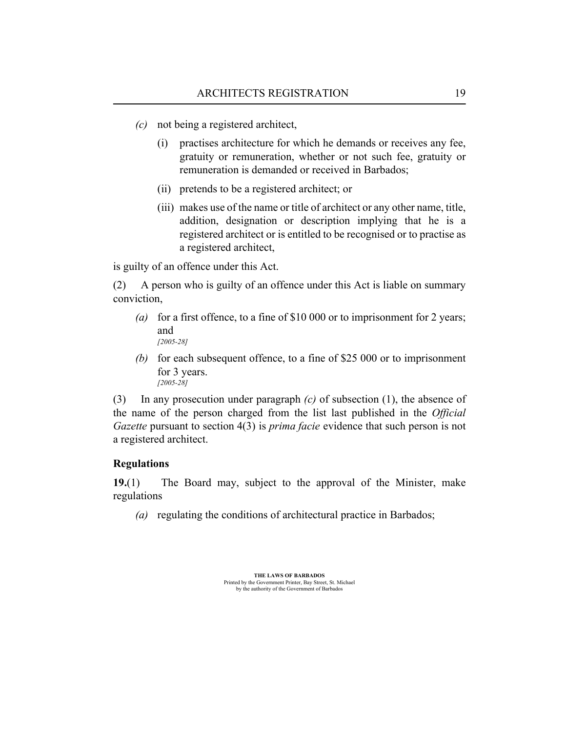- <span id="page-18-0"></span>not being a registered architect, *(c)*
	- practises architecture for which he demands or receives any fee, gratuity or remuneration, whether or not such fee, gratuity or remuneration is demanded or received in Barbados; (i)
	- (ii) pretends to be a registered architect; or
	- (iii) makes use of the name or title of architect or any other name, title, addition, designation or description implying that he is a registered architect or is entitled to be recognised or to practise as a registered architect,

is guilty of an offence under this Act.

A person who is guilty of an offence under this Act is liable on summary conviction, (2)

- for a first offence, to a fine of \$10 000 or to imprisonment for 2 years; *(a)* and *[2005-28]*
- (b) for each subsequent offence, to a fine of \$25 000 or to imprisonment for 3 years. *[2005-28]*

In any prosecution under paragraph *(c)* of subsection (1), the absence of the name of the person charged from the list last published in the *Official Gazette* pursuant to [section 4\(3\)](#page-9-0) is *prima facie* evidence that such person is not a registered architect. (3)

## **Regulations**

The Board may, subject to the approval of the Minister, make regulations **19.**(1)

(a) regulating the conditions of architectural practice in Barbados;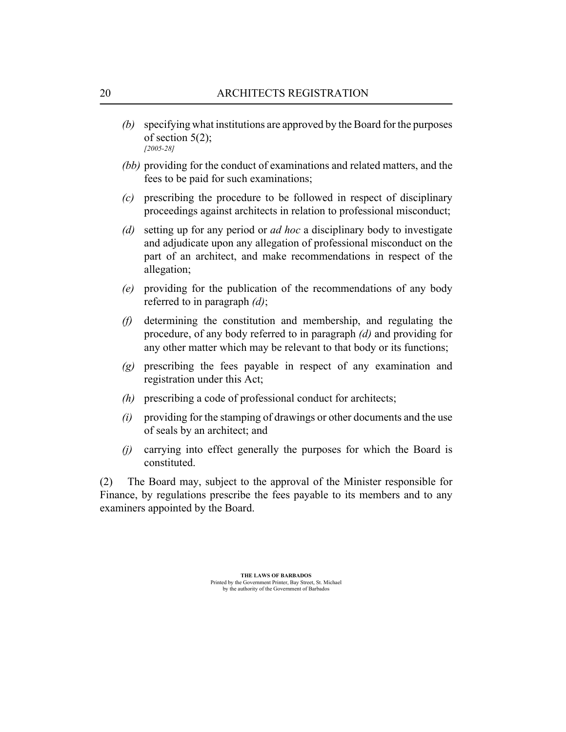- specifying what institutions are approved by the Board for the purposes *(b)* of section  $5(2)$ ; *[2005-28]*
- (bb) providing for the conduct of examinations and related matters, and the fees to be paid for such examinations;
- prescribing the procedure to be followed in respect of disciplinary *(c)* proceedings against architects in relation to professional misconduct;
- setting up for any period or *ad hoc* a disciplinary body to investigate *(d)* and adjudicate upon any allegation of professional misconduct on the part of an architect, and make recommendations in respect of the allegation;
- providing for the publication of the recommendations of any body *(e)* referred to in paragraph *(d)*;
- determining the constitution and membership, and regulating the *(f)* procedure, of any body referred to in paragraph *(d)* and providing for any other matter which may be relevant to that body or its functions;
- prescribing the fees payable in respect of any examination and *(g)* registration under this Act;
- prescribing a code of professional conduct for architects; *(h)*
- providing for the stamping of drawings or other documents and the use of seals by an architect; and *(i)*
- carrying into effect generally the purposes for which the Board is *(j)* constituted.

The Board may, subject to the approval of the Minister responsible for Finance, by regulations prescribe the fees payable to its members and to any examiners appointed by the Board. (2)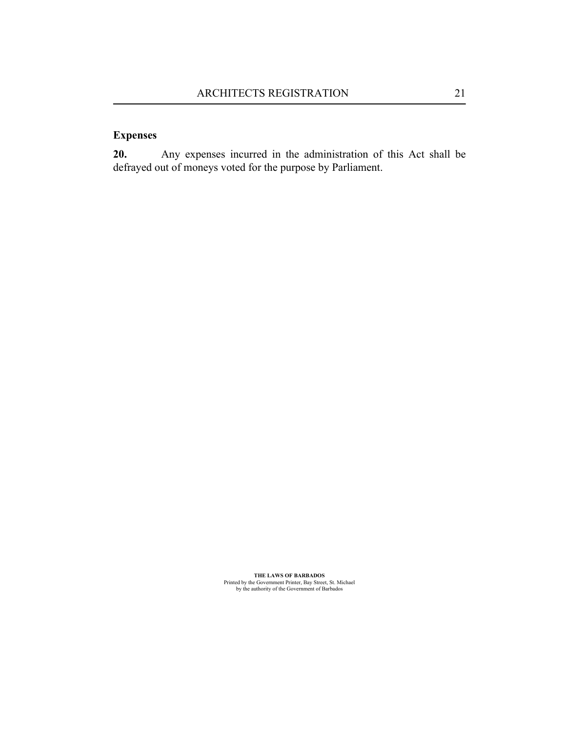# <span id="page-20-0"></span>**Expenses**

Any expenses incurred in the administration of this Act shall be defrayed out of moneys voted for the purpose by Parliament. **20.**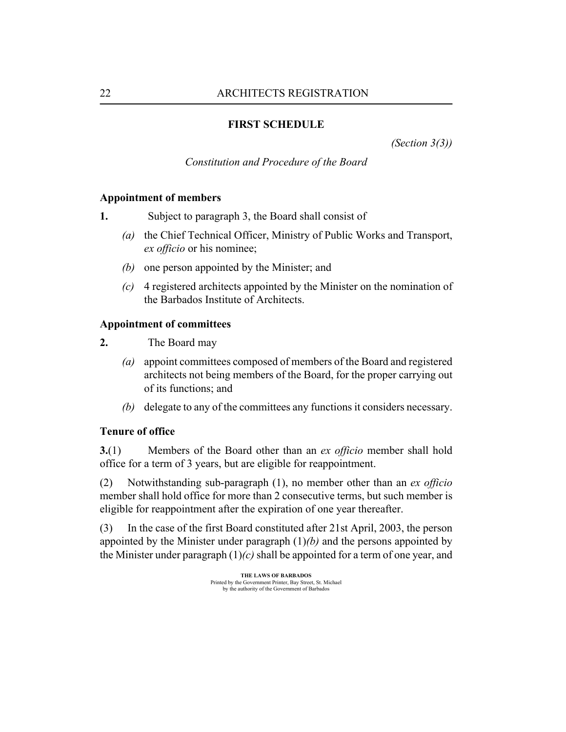# **FIRST SCHEDULE**

*[\(Section 3\(3\)\)](#page-8-0)*

## *Constitution and Procedure of the Board*

### <span id="page-21-0"></span>**Appointment of members**

- Subject to paragraph 3, the Board shall consist of **1.**
	- (a) the Chief Technical Officer, Ministry of Public Works and Transport, *ex officio* or his nominee;
	- (b) one person appointed by the Minister; and
	- 4 registered architects appointed by the Minister on the nomination of *(c)* the Barbados Institute of Architects.

### **Appointment of committees**

- The Board may **2.**
	- appoint committees composed of members of the Board and registered *(a)* architects not being members of the Board, for the proper carrying out of its functions; and
	- delegate to any of the committees any functions it considers necessary. *(b)*

#### **Tenure of office**

Members of the Board other than an *ex officio* member shall hold office for a term of 3 years, but are eligible for reappointment. **3.**(1)

Notwithstanding sub-paragraph (1), no member other than an *ex officio* member shall hold office for more than 2 consecutive terms, but such member is eligible for reappointment after the expiration of one year thereafter. (2)

In the case of the first Board constituted after 21st April, 2003, the person appointed by the Minister under paragraph (1)*(b)* and the persons appointed by the Minister under paragraph (1)*(c)* shall be appointed for a term of one year, and (3)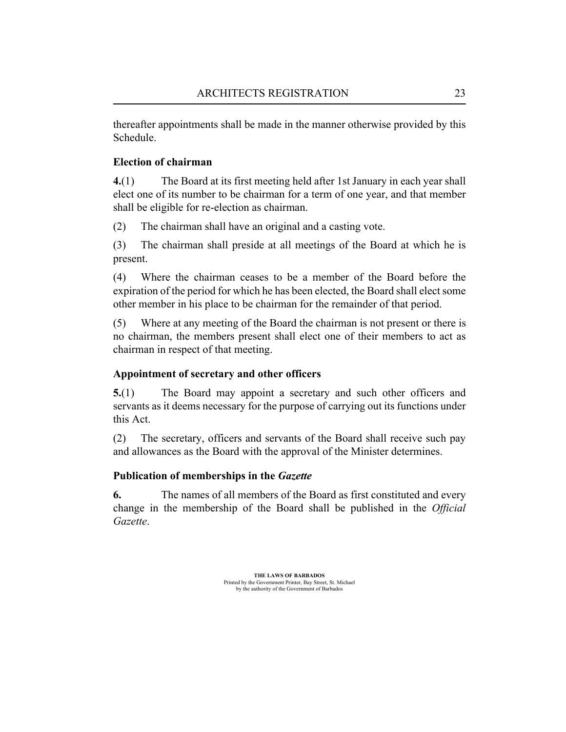thereafter appointments shall be made in the manner otherwise provided by this Schedule.

# **Election of chairman**

The Board at its first meeting held after 1st January in each year shall elect one of its number to be chairman for a term of one year, and that member shall be eligible for re-election as chairman. **4.**(1)

The chairman shall have an original and a casting vote. (2)

The chairman shall preside at all meetings of the Board at which he is present. (3)

Where the chairman ceases to be a member of the Board before the expiration of the period for which he has been elected, the Board shall elect some other member in his place to be chairman for the remainder of that period. (4)

Where at any meeting of the Board the chairman is not present or there is no chairman, the members present shall elect one of their members to act as chairman in respect of that meeting. (5)

# **Appointment of secretary and other officers**

The Board may appoint a secretary and such other officers and servants as it deems necessary for the purpose of carrying out its functions under this Act. **5.**(1)

The secretary, officers and servants of the Board shall receive such pay and allowances as the Board with the approval of the Minister determines. (2)

# **Publication of memberships in the** *Gazette*

The names of all members of the Board as first constituted and every change in the membership of the Board shall be published in the *Official Gazette*. **6.**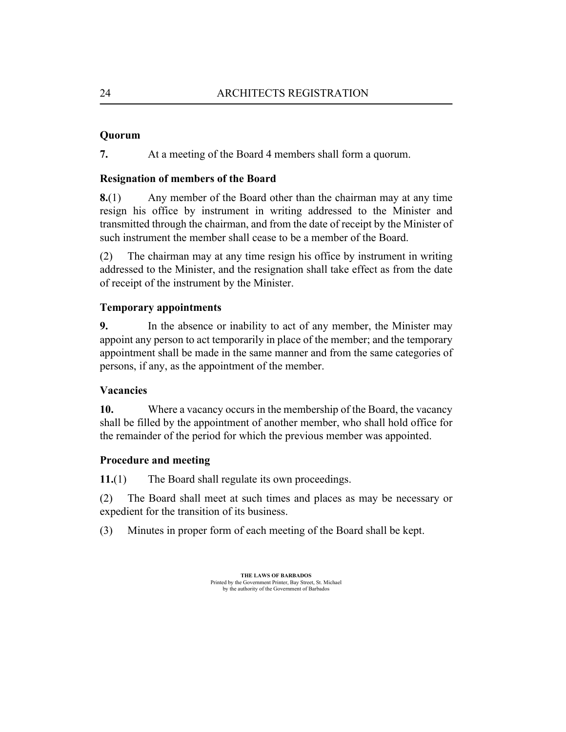# **Quorum**

At a meeting of the Board 4 members shall form a quorum. **7.**

# **Resignation of members of the Board**

Any member of the Board other than the chairman may at any time resign his office by instrument in writing addressed to the Minister and transmitted through the chairman, and from the date of receipt by the Minister of such instrument the member shall cease to be a member of the Board. **8.**(1)

The chairman may at any time resign his office by instrument in writing addressed to the Minister, and the resignation shall take effect as from the date of receipt of the instrument by the Minister. (2)

## **Temporary appointments**

In the absence or inability to act of any member, the Minister may appoint any person to act temporarily in place of the member; and the temporary appointment shall be made in the same manner and from the same categories of persons, if any, as the appointment of the member. **9.**

# **Vacancies**

Where a vacancy occurs in the membership of the Board, the vacancy shall be filled by the appointment of another member, who shall hold office for the remainder of the period for which the previous member was appointed. **10.**

## **Procedure and meeting**

The Board shall regulate its own proceedings. **11.**(1)

The Board shall meet at such times and places as may be necessary or expedient for the transition of its business. (2)

Minutes in proper form of each meeting of the Board shall be kept. (3)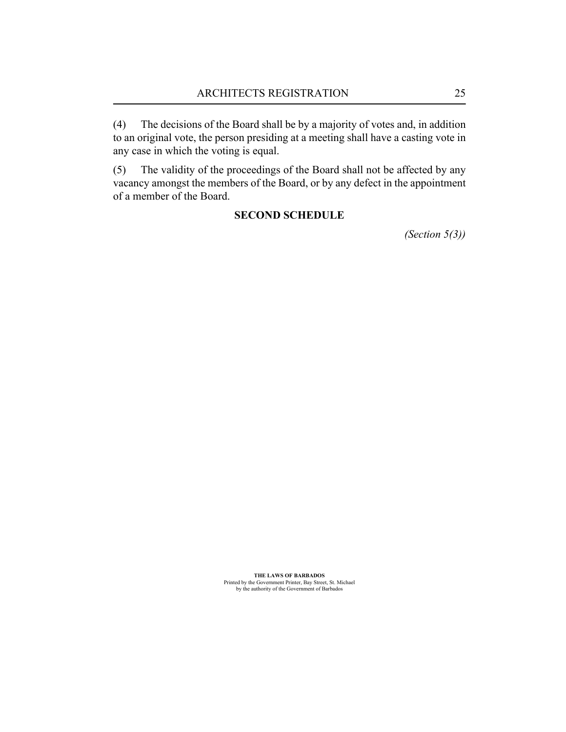<span id="page-24-0"></span>The decisions of the Board shall be by a majority of votes and, in addition to an original vote, the person presiding at a meeting shall have a casting vote in any case in which the voting is equal. (4)

The validity of the proceedings of the Board shall not be affected by any vacancy amongst the members of the Board, or by any defect in the appointment of a member of the Board. (5)

## **SECOND SCHEDULE**

*([Section 5\(3\)](#page-11-0))*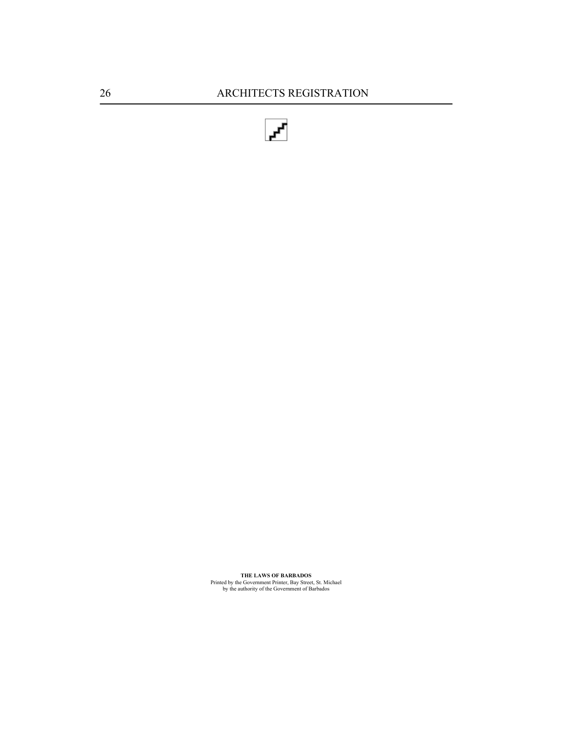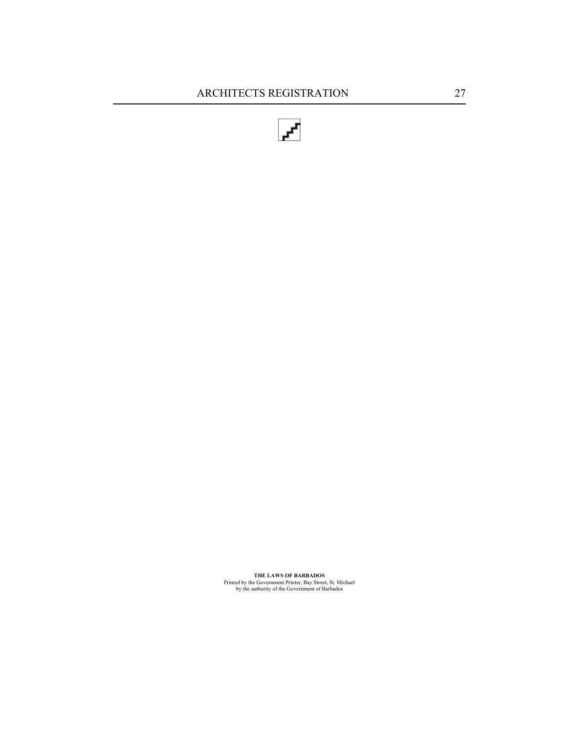# $\mathbf{r}^{\prime}$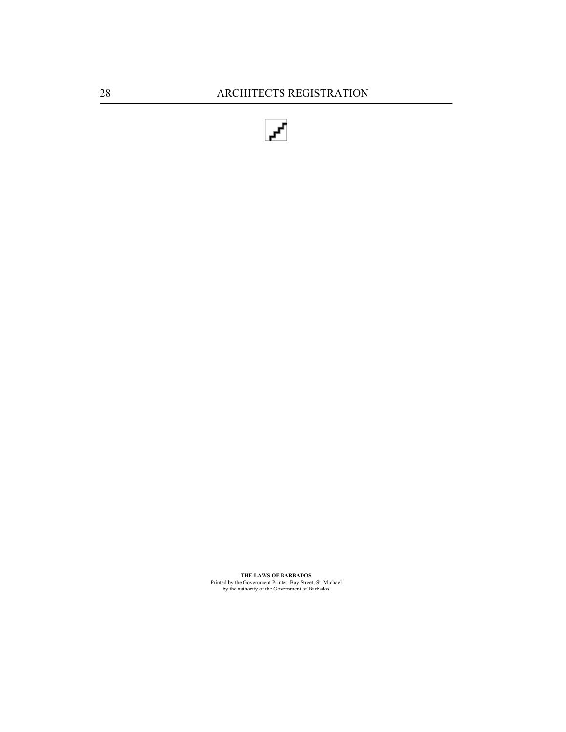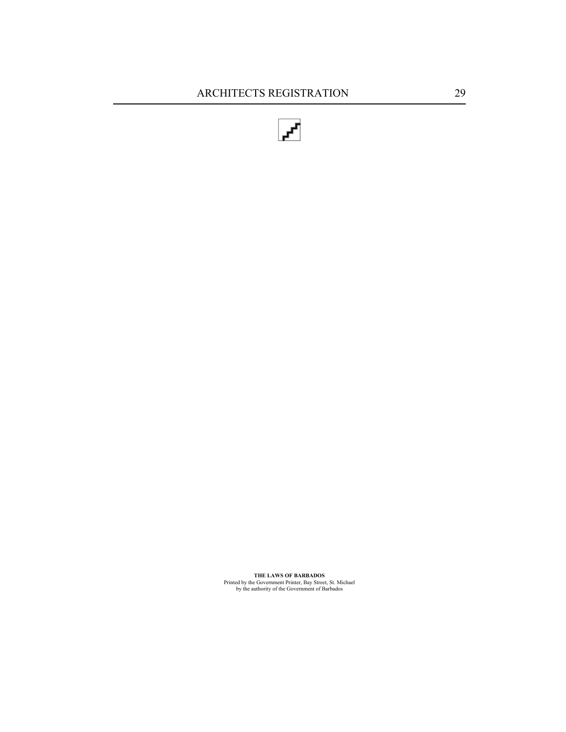# $\mathbf{r}^{\prime}$